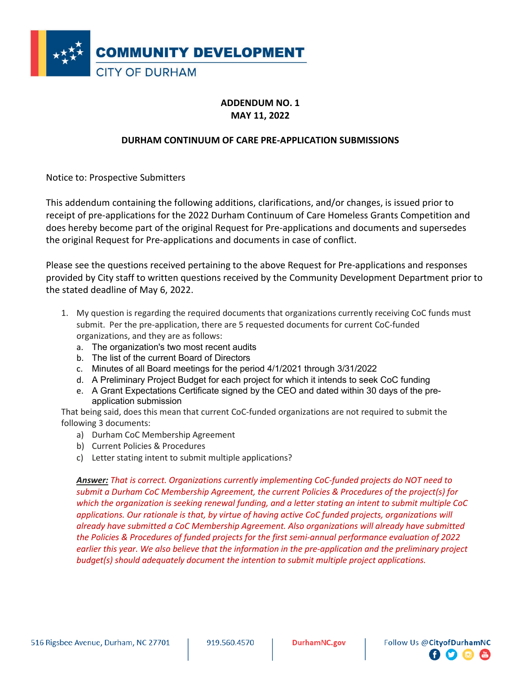

## **ADDENDUM NO. 1 MAY 11, 2022**

## **DURHAM CONTINUUM OF CARE PRE-APPLICATION SUBMISSIONS**

Notice to: Prospective Submitters

This addendum containing the following additions, clarifications, and/or changes, is issued prior to receipt of pre-applications for the 2022 Durham Continuum of Care Homeless Grants Competition and does hereby become part of the original Request for Pre-applications and documents and supersedes the original Request for Pre-applications and documents in case of conflict.

Please see the questions received pertaining to the above Request for Pre-applications and responses provided by City staff to written questions received by the Community Development Department prior to the stated deadline of May 6, 2022.

- 1. My question is regarding the required documents that organizations currently receiving CoC funds must submit. Per the pre-application, there are 5 requested documents for current CoC-funded organizations, and they are as follows:
	- a. The organization's two most recent audits
	- b. The list of the current Board of Directors
	- c. Minutes of all Board meetings for the period 4/1/2021 through 3/31/2022
	- d. A Preliminary Project Budget for each project for which it intends to seek CoC funding
	- e. A Grant Expectations Certificate signed by the CEO and dated within 30 days of the preapplication submission

That being said, does this mean that current CoC-funded organizations are not required to submit the following 3 documents:

- a) Durham CoC Membership Agreement
- b) Current Policies & Procedures
- c) Letter stating intent to submit multiple applications?

*Answer: That is correct. Organizations currently implementing CoC-funded projects do NOT need to submit a Durham CoC Membership Agreement, the current Policies & Procedures of the project(s) for which the organization is seeking renewal funding, and a letter stating an intent to submit multiple CoC applications. Our rationale is that, by virtue of having active CoC funded projects, organizations will already have submitted a CoC Membership Agreement. Also organizations will already have submitted the Policies & Procedures of funded projects for the first semi-annual performance evaluation of 2022 earlier this year. We also believe that the information in the pre-application and the preliminary project budget(s) should adequately document the intention to submit multiple project applications.*